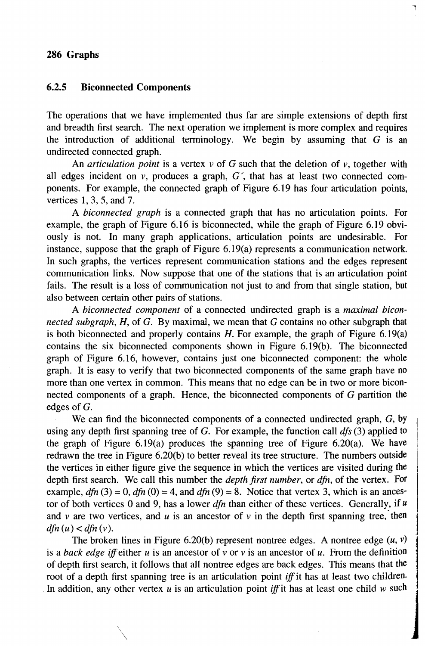#### 286 Graphs

# 6.2.5 Biconnected Components

 $\diagdown$ 

The operations that we have implemented thus far are simple extensions of depth first and breadth first search. The next operation we implement is more complex and requires the introduction of additional terminology. We begin by assuming that  $G$  is an undirected connected graph.

l

An *articulation point* is a vertex *v* of G such that the deletion of *v,* together with all edges incident on  $v$ , produces a graph,  $G'$ , that has at least two connected components. For example, the connected graph of Figure 6.19 has four articulation points, vertices 1,3,5, and 7.

A *biconnected graph* is a connected graph that has no articulation points. For example, the graph of Figure 6.16 is biconnected, while the graph of Figure 6.19 obviously is not. In many graph applications, articulation points are undesirable. For instance, suppose that the graph of Figure 6.19(a) represents a communication network. In such graphs, the vertices represent communication stations and the edges represent communication links. Now suppose that one of the stations that is an articulation point fails. The result is a loss of communication not just to and from that single station, but also between certain other pairs of stations.

A *biconnected component* of a connected undirected graph is a *maximal biconnected subgraph,* H, of G. By maximal, we mean that G contains no other subgraph that is both biconnected and properly contains  $H$ . For example, the graph of Figure 6.19(a) contains the six biconnected components shown in Figure 6.19(b). The biconnected graph of Figure 6.16, however, contains just one biconnected component: the whole graph. It is easy to verify that two biconnected components of the same graph have no more than one vertex in common. This means that no edge can be in two or more biconnected components of a graph. Hence, the biconnected components of G partition the edges of G.

We can find the biconnected components of a connected undirected graph, G, by using any depth first spanning tree of G. For example, the function call *dfs* (3) applied to the graph of Figure  $6.19(a)$  produces the spanning tree of Figure  $6.20(a)$ . We have redrawn the tree in Figure 6.20(b) to better reveal its tree structure. The numbers outside the vertices in either figure give the sequence in which the vertices are visited during the depth first search. We call this number the *depth first number,* or *dfn,* of the vertex. For example,  $dfn(3) = 0$ ,  $dfn(0) = 4$ , and  $dfn(9) = 8$ . Notice that vertex 3, which is an ancestor of both vertices 0 and 9, has a lower *dfn* than either of these vertices. Generally, if *u*  and  $\nu$  are two vertices, and  $\mu$  is an ancestor of  $\nu$  in the depth first spanning tree, then  $dfn(u) < dfn(v)$ .

The broken lines in Figure 6.20(b) represent nontree edges. A nontree edge  $(u, v)$ is a *back edge* iff either *u* is an ancestor of *v* or *v* is an ancestor of *u.* From the definition of depth first search, it follows that all nontree edges are back edges. This means that the root of a depth first spanning tree is an articulation point iff it has at least two children. In addition, any other vertex  $u$  is an articulation point *iff* it has at least one child  $w$  such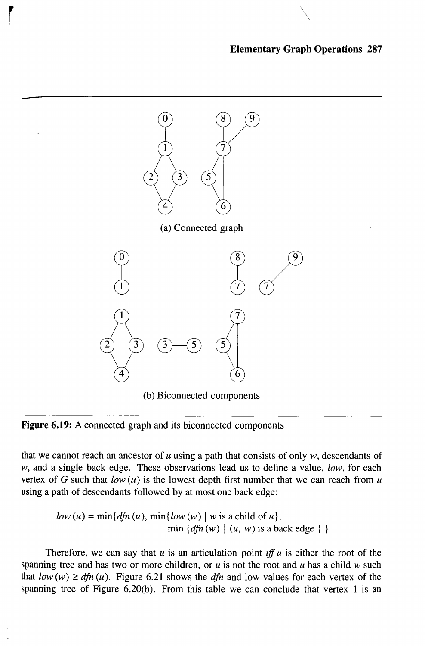#### **Elementary Graph Operations 287**

 $\diagdown$ 



(b) Biconnected components

Figure 6.19: A connected graph and its biconnected components

r

L

that we cannot reach an ancestor of *u* using a path that consists of only w, descendants of w, and a single back edge. These observations lead us to define a value, low, for each vertex of G such that  $low(u)$  is the lowest depth first number that we can reach from u using a path of descendants followed by at most one back edge:

$$
low (u) = min{dfn (u), min{low (w) | w is a child of u},min {dfn (w) | (u, w) is a back edge}}
$$

Therefore, we can say that  $u$  is an articulation point iff  $u$  is either the root of the spanning tree and has two or more children, or  $u$  is not the root and  $u$  has a child  $w$  such that  $low(w) \geq dfn(u)$ . Figure 6.21 shows the dfn and low values for each vertex of the spanning tree of Figure 6.20(b). From this table we can conclude that vertex 1 is an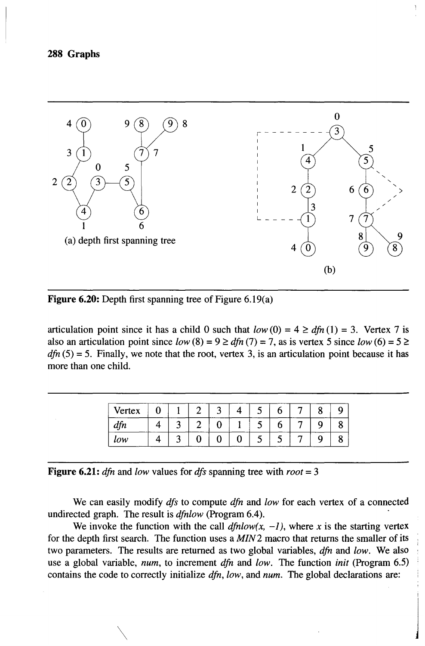

**Figure 6.20:** Depth first spanning tree of Figure 6.19(a)

articulation point since it has a child 0 such that  $low(0) = 4 \geq dfn(1) = 3$ . Vertex 7 is also an articulation point since  $low(8) = 9 \geq dfn(7) = 7$ , as is vertex 5 since  $low(6) = 5 \geq$  $dfn(5) = 5$ . Finally, we note that the root, vertex 3, is an articulation point because it has more than one child.

| Vertex |  |  |  |  |  |
|--------|--|--|--|--|--|
|        |  |  |  |  |  |
| low    |  |  |  |  |  |

**Figure 6.21:** *dfn* and *low* values for *dfs* spanning tree with  $root = 3$ 

We can easily modify *dfs* to compute *dfn* and *low* for each vertex of a connected undirected graph. The result is *dfnlow* (Program 6.4). .

We invoke the function with the call  $dfnlow(x, -1)$ , where x is the starting vertex for the depth first search. The function uses a *MIN* 2 macro that returns the smaller of its two parameters. The results are returned as two global variables, *dfn* and *low.* We also use a global variable, *num,* to increment *dfn* and *low.* The function *init* (Program 6.5) contains the code to correctly initialize *dfn, low,* and *num.* The global declarations are:

 $\sim$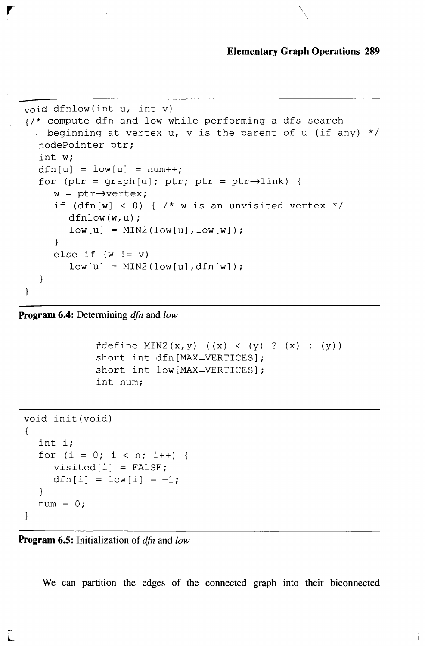#### **Elementary Graph Operations 289**

```
void dfnlow(int u, int v) 
{/* compute dfn and low while performing a dfs search 
 - beginning at vertex u, v is the parent of u (if any) */nodePointer ptr; 
  int w; 
  dfn[u] = low[u] = num++;for (ptr = qraph[u]; ptr; ptr = ptr\rightarrowlink) {
     w = ptr \rightarrow vertex;if (dfn[w] < 0) { /* w is an unvisited vertex */dfnlow(w,u); 
        low[u] = MIN2(low[u],low[w]);
     else if (w != v) 
        low[u] = MIN2(low[u],dfn[w]);
  \mathcal{E}\mathcal{F}
```
 $\mathcal{L}$  respectively. The contract of  $\mathcal{L}$ 

**Program 6.4:** Determining *dfn* and *low* 

```
#define MIN2(x, y) ((x) < (y) ? (x) : (y))
short int dfn[MAX_VERTICES];
short int low [MAX_VERTICES];
int num;
```

```
void init(void) 
{ 
   int i; 
   for (i = 0; i < n; i++) {
      visited[i] = FALSE;dfn[i] = low[i] = -1;\mathcal{F}num = 0;\mathcal{L}
```
**Program 6.5:** Initialization of *dfn* and *low* 

We can partition the edges of the connected graph into their biconnected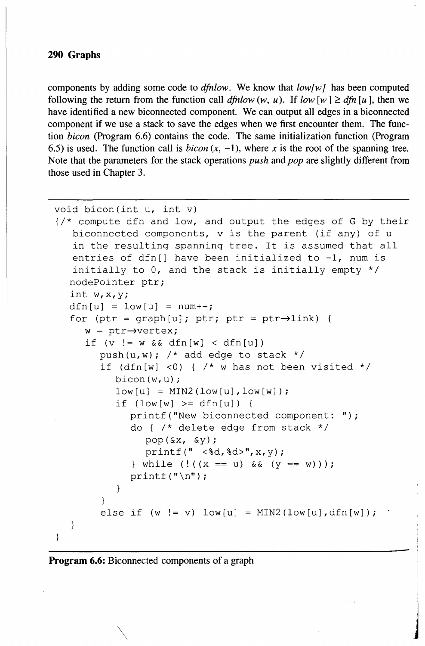## **290 Graphs**

components by adding some code to *dfnlow.* We know that *low[wl* has been computed following the return from the function call *dfnlow* (w, u). If  $low \, [w] \geq dfn \, [u]$ , then we have identified a new biconnected component. We can output all edges in a biconnected component if we use a stack to save the edges when we first encounter them. The function *bicon* (Program 6.6) contains the code. The same initialization function (Program 6.5) is used. The function call is *bicon*  $(x, -1)$ , where *x* is the root of the spanning tree. Note that the parameters for the stack operations *push* and *pop* are slightly different from those used in Chapter 3.

```
void bicon(int u, int v) 
\frac{1}{x} compute dfn and low, and output the edges of G by their
   biconnected components, v is the parent (if any) of u 
   in the resulting spanning tree. It is assumed that all 
   entries of dfn[] have been initialized to -1, num is
   initially to 0, and the stack is initially empty */ 
  nodePointer ptr; 
  int w,x,y; 
  dfn[u] = low[u] = num++;for (ptr = graph[u]; ptr; ptr = ptr\rightarrowlink) {
     w = ptr \rightarrow vertex;if (v := w \& \text{dfn}[w] < \text{dfn}[u])push(u,w); /* add edge to stack */if (dfn[w] <0) { /* w has not been visited */bicon(w,u); 
           low[u] = MIN2(low[u],low[w]);
           if (low[w] \geq dfn[u]) {
              printf("New biconnected component: "); 
              do { /* delete edge from stack */ 
                 pop(\&x, \&y);printf(" <%d,%d>",x,y); 
              } while (! ((x == u) & (x (y == w)));
              printf("\n");
           \mathcal{E}}<br>else if (w != v) low[u] = MIN2(low[u],dfn[w]);
   }
\mathcal{E}
```
je poznatelj poznatelj poznatelj poznatelj poznatelj poznatelj poznatelj poznatelj poznatelj poznatelj poznatelj<br>Definition of the control of the control of the control of the control of the control of the control of the c

#### **Program 6.6:** Biconnected components of a graph

 $\diagdown$